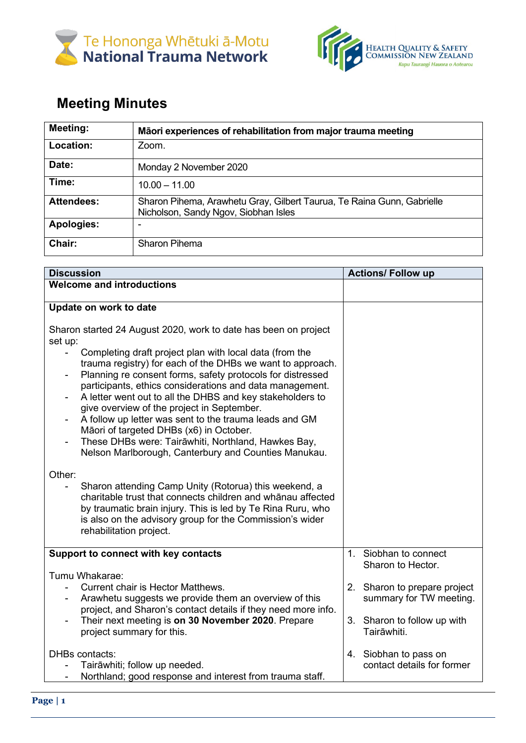



## **Meeting Minutes**

| <b>Meeting:</b>   | Māori experiences of rehabilitation from major trauma meeting                                                  |
|-------------------|----------------------------------------------------------------------------------------------------------------|
| Location:         | Zoom.                                                                                                          |
| Date:             | Monday 2 November 2020                                                                                         |
| Time:             | $10.00 - 11.00$                                                                                                |
| <b>Attendees:</b> | Sharon Pihema, Arawhetu Gray, Gilbert Taurua, Te Raina Gunn, Gabrielle<br>Nicholson, Sandy Ngov, Siobhan Isles |
| <b>Apologies:</b> | ۰                                                                                                              |
| Chair:            | <b>Sharon Pihema</b>                                                                                           |

| <b>Discussion</b>                                                                                                                                                                                                                                                                                                                                                                                                                                                                                                                                                                                                                                                                            |  | <b>Actions/ Follow up</b>                                                                                                  |
|----------------------------------------------------------------------------------------------------------------------------------------------------------------------------------------------------------------------------------------------------------------------------------------------------------------------------------------------------------------------------------------------------------------------------------------------------------------------------------------------------------------------------------------------------------------------------------------------------------------------------------------------------------------------------------------------|--|----------------------------------------------------------------------------------------------------------------------------|
| <b>Welcome and introductions</b>                                                                                                                                                                                                                                                                                                                                                                                                                                                                                                                                                                                                                                                             |  |                                                                                                                            |
|                                                                                                                                                                                                                                                                                                                                                                                                                                                                                                                                                                                                                                                                                              |  |                                                                                                                            |
| Update on work to date                                                                                                                                                                                                                                                                                                                                                                                                                                                                                                                                                                                                                                                                       |  |                                                                                                                            |
| Sharon started 24 August 2020, work to date has been on project<br>set up:<br>Completing draft project plan with local data (from the<br>$\qquad \qquad \blacksquare$<br>trauma registry) for each of the DHBs we want to approach.<br>Planning re consent forms, safety protocols for distressed<br>participants, ethics considerations and data management.<br>A letter went out to all the DHBS and key stakeholders to<br>give overview of the project in September.<br>A follow up letter was sent to the trauma leads and GM<br>Māori of targeted DHBs (x6) in October.<br>These DHBs were: Tairāwhiti, Northland, Hawkes Bay,<br>Nelson Marlborough, Canterbury and Counties Manukau. |  |                                                                                                                            |
| Other:<br>Sharon attending Camp Unity (Rotorua) this weekend, a<br>$\blacksquare$<br>charitable trust that connects children and whanau affected<br>by traumatic brain injury. This is led by Te Rina Ruru, who<br>is also on the advisory group for the Commission's wider<br>rehabilitation project.                                                                                                                                                                                                                                                                                                                                                                                       |  |                                                                                                                            |
| Support to connect with key contacts                                                                                                                                                                                                                                                                                                                                                                                                                                                                                                                                                                                                                                                         |  | 1. Siobhan to connect                                                                                                      |
| Tumu Whakarae:<br>Current chair is Hector Matthews.<br>Arawhetu suggests we provide them an overview of this<br>project, and Sharon's contact details if they need more info.<br>Their next meeting is on 30 November 2020. Prepare<br>project summary for this.                                                                                                                                                                                                                                                                                                                                                                                                                             |  | Sharon to Hector.<br>2. Sharon to prepare project<br>summary for TW meeting.<br>3. Sharon to follow up with<br>Tairāwhiti. |
| DHBs contacts:<br>Tairāwhiti; follow up needed.<br>Northland; good response and interest from trauma staff.                                                                                                                                                                                                                                                                                                                                                                                                                                                                                                                                                                                  |  | 4. Siobhan to pass on<br>contact details for former                                                                        |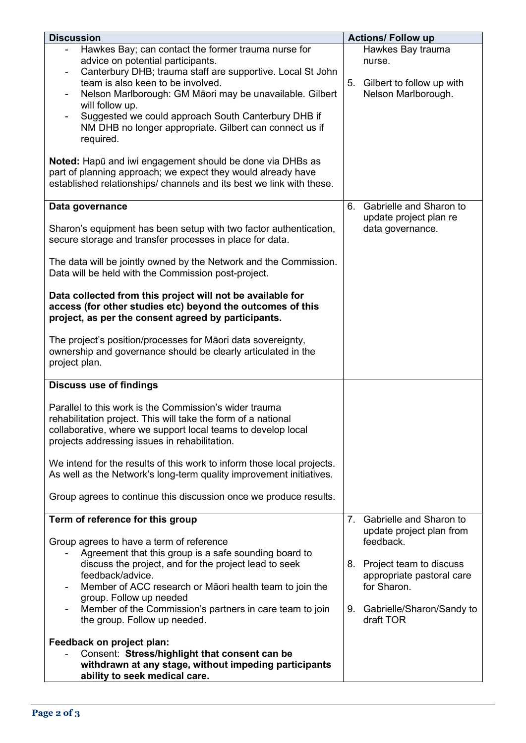| <b>Discussion</b>                                                                                                                                                                                                                                                                                                                                                                                         |    | <b>Actions/ Follow up</b>                                                          |
|-----------------------------------------------------------------------------------------------------------------------------------------------------------------------------------------------------------------------------------------------------------------------------------------------------------------------------------------------------------------------------------------------------------|----|------------------------------------------------------------------------------------|
| Hawkes Bay; can contact the former trauma nurse for<br>advice on potential participants.<br>Canterbury DHB; trauma staff are supportive. Local St John<br>team is also keen to be involved.<br>Nelson Marlborough: GM Māori may be unavailable. Gilbert<br>will follow up.<br>Suggested we could approach South Canterbury DHB if<br>NM DHB no longer appropriate. Gilbert can connect us if<br>required. |    | Hawkes Bay trauma<br>nurse.<br>5. Gilbert to follow up with<br>Nelson Marlborough. |
| <b>Noted:</b> Hapū and iwi engagement should be done via DHBs as<br>part of planning approach; we expect they would already have<br>established relationships/ channels and its best we link with these.                                                                                                                                                                                                  |    |                                                                                    |
| Data governance                                                                                                                                                                                                                                                                                                                                                                                           | 6. | Gabrielle and Sharon to                                                            |
| Sharon's equipment has been setup with two factor authentication,<br>secure storage and transfer processes in place for data.                                                                                                                                                                                                                                                                             |    | update project plan re<br>data governance.                                         |
| The data will be jointly owned by the Network and the Commission.<br>Data will be held with the Commission post-project.                                                                                                                                                                                                                                                                                  |    |                                                                                    |
| Data collected from this project will not be available for<br>access (for other studies etc) beyond the outcomes of this<br>project, as per the consent agreed by participants.                                                                                                                                                                                                                           |    |                                                                                    |
| The project's position/processes for Māori data sovereignty,<br>ownership and governance should be clearly articulated in the<br>project plan.                                                                                                                                                                                                                                                            |    |                                                                                    |
| <b>Discuss use of findings</b>                                                                                                                                                                                                                                                                                                                                                                            |    |                                                                                    |
| Parallel to this work is the Commission's wider trauma<br>rehabilitation project. This will take the form of a national<br>collaborative, where we support local teams to develop local<br>projects addressing issues in rehabilitation.                                                                                                                                                                  |    |                                                                                    |
| We intend for the results of this work to inform those local projects.<br>As well as the Network's long-term quality improvement initiatives.                                                                                                                                                                                                                                                             |    |                                                                                    |
| Group agrees to continue this discussion once we produce results.                                                                                                                                                                                                                                                                                                                                         |    |                                                                                    |
| Term of reference for this group                                                                                                                                                                                                                                                                                                                                                                          | 7. | Gabrielle and Sharon to<br>update project plan from                                |
| Group agrees to have a term of reference<br>Agreement that this group is a safe sounding board to                                                                                                                                                                                                                                                                                                         |    | feedback.                                                                          |
| discuss the project, and for the project lead to seek<br>feedback/advice.                                                                                                                                                                                                                                                                                                                                 |    | 8. Project team to discuss<br>appropriate pastoral care                            |
| Member of ACC research or Māori health team to join the<br>group. Follow up needed                                                                                                                                                                                                                                                                                                                        |    | for Sharon.                                                                        |
| Member of the Commission's partners in care team to join<br>the group. Follow up needed.                                                                                                                                                                                                                                                                                                                  |    | 9. Gabrielle/Sharon/Sandy to<br>draft TOR                                          |
| Feedback on project plan:<br>Consent: Stress/highlight that consent can be<br>withdrawn at any stage, without impeding participants                                                                                                                                                                                                                                                                       |    |                                                                                    |
| ability to seek medical care.                                                                                                                                                                                                                                                                                                                                                                             |    |                                                                                    |